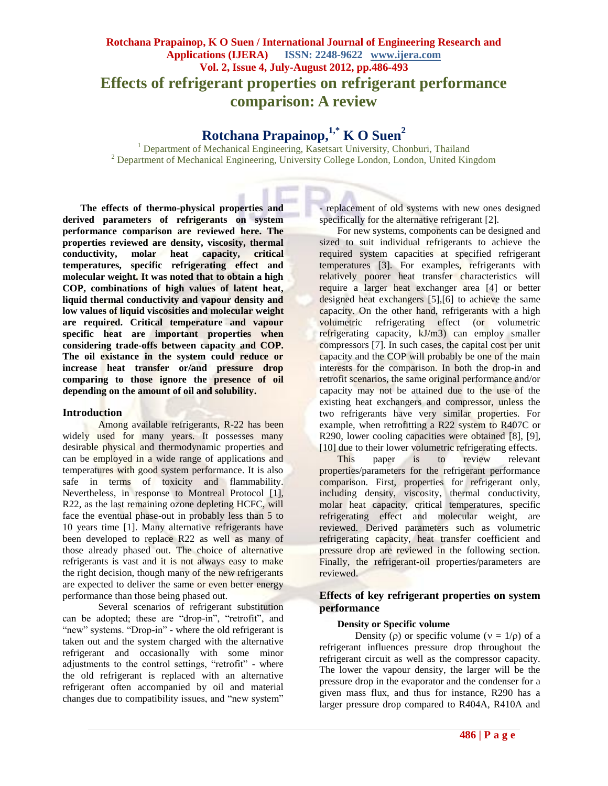# **Rotchana Prapainop, K O Suen / International Journal of Engineering Research and Applications (IJERA) ISSN: 2248-9622 www.ijera.com Vol. 2, Issue 4, July-August 2012, pp.486-493 Effects of refrigerant properties on refrigerant performance comparison: A review**

# **Rotchana Prapainop, 1,\* K O Suen<sup>2</sup>**

<sup>1</sup> Department of Mechanical Engineering, Kasetsart University, Chonburi, Thailand <sup>2</sup> Department of Mechanical Engineering, University College London, London, United Kingdom

**The effects of thermo-physical properties and derived parameters of refrigerants on system performance comparison are reviewed here. The properties reviewed are density, viscosity, thermal conductivity, molar heat capacity, critical temperatures, specific refrigerating effect and molecular weight. It was noted that to obtain a high COP, combinations of high values of latent heat, liquid thermal conductivity and vapour density and low values of liquid viscosities and molecular weight are required. Critical temperature and vapour specific heat are important properties when considering trade-offs between capacity and COP. The oil existance in the system could reduce or increase heat transfer or/and pressure drop comparing to those ignore the presence of oil depending on the amount of oil and solubility.**

# **Introduction**

Among available refrigerants, R-22 has been widely used for many years. It possesses many desirable physical and thermodynamic properties and can be employed in a wide range of applications and temperatures with good system performance. It is also safe in terms of toxicity and flammability. Nevertheless, in response to Montreal Protocol [1], R22, as the last remaining ozone depleting HCFC, will face the eventual phase-out in probably less than 5 to 10 years time [1]. Many alternative refrigerants have been developed to replace R22 as well as many of those already phased out. The choice of alternative refrigerants is vast and it is not always easy to make the right decision, though many of the new refrigerants are expected to deliver the same or even better energy performance than those being phased out.

Several scenarios of refrigerant substitution can be adopted; these are "drop-in", "retrofit", and "new" systems. "Drop-in" - where the old refrigerant is taken out and the system charged with the alternative refrigerant and occasionally with some minor adjustments to the control settings, "retrofit" - where the old refrigerant is replaced with an alternative refrigerant often accompanied by oil and material changes due to compatibility issues, and "new system"

- replacement of old systems with new ones designed specifically for the alternative refrigerant [2].

For new systems, components can be designed and sized to suit individual refrigerants to achieve the required system capacities at specified refrigerant temperatures [3]. For examples, refrigerants with relatively poorer heat transfer characteristics will require a larger heat exchanger area [4] or better designed heat exchangers [5], [6] to achieve the same capacity. On the other hand, refrigerants with a high volumetric refrigerating effect (or volumetric refrigerating capacity, kJ/m3) can employ smaller compressors [7]. In such cases, the capital cost per unit capacity and the COP will probably be one of the main interests for the comparison. In both the drop-in and retrofit scenarios, the same original performance and/or capacity may not be attained due to the use of the existing heat exchangers and compressor, unless the two refrigerants have very similar properties. For example, when retrofitting a R22 system to R407C or R290, lower cooling capacities were obtained [8], [9], [10] due to their lower volumetric refrigerating effects.

This paper is to review relevant properties/parameters for the refrigerant performance comparison. First, properties for refrigerant only, including density, viscosity, thermal conductivity, molar heat capacity, critical temperatures, specific refrigerating effect and molecular weight, are reviewed. Derived parameters such as volumetric refrigerating capacity, heat transfer coefficient and pressure drop are reviewed in the following section. Finally, the refrigerant-oil properties/parameters are reviewed.

# **Effects of key refrigerant properties on system performance**

# **Density or Specific volume**

Density ( $\rho$ ) or specific volume ( $v = 1/\rho$ ) of a refrigerant influences pressure drop throughout the refrigerant circuit as well as the compressor capacity. The lower the vapour density, the larger will be the pressure drop in the evaporator and the condenser for a given mass flux, and thus for instance, R290 has a larger pressure drop compared to R404A, R410A and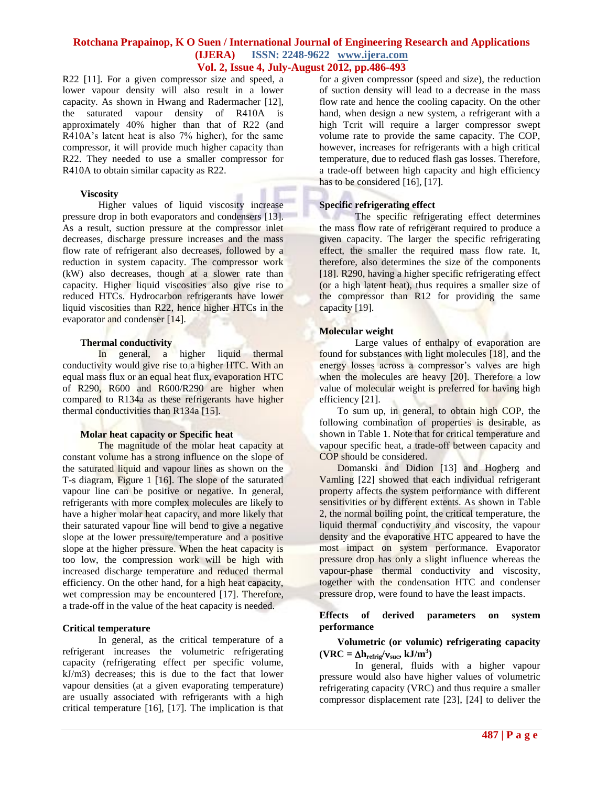R22 [11]. For a given compressor size and speed, a lower vapour density will also result in a lower capacity. As shown in Hwang and Radermacher [12], the saturated vapour density of R410A is approximately 40% higher than that of R22 (and R410A's latent heat is also 7% higher), for the same compressor, it will provide much higher capacity than R22. They needed to use a smaller compressor for R410A to obtain similar capacity as R22.

#### **Viscosity**

Higher values of liquid viscosity increase pressure drop in both evaporators and condensers [13]. As a result, suction pressure at the compressor inlet decreases, discharge pressure increases and the mass flow rate of refrigerant also decreases, followed by a reduction in system capacity. The compressor work (kW) also decreases, though at a slower rate than capacity. Higher liquid viscosities also give rise to reduced HTCs. Hydrocarbon refrigerants have lower liquid viscosities than R22, hence higher HTCs in the evaporator and condenser [14].

#### **Thermal conductivity**

In general, a higher liquid thermal conductivity would give rise to a higher HTC. With an equal mass flux or an equal heat flux, evaporation HTC of R290, R600 and R600/R290 are higher when compared to R134a as these refrigerants have higher thermal conductivities than R134a [15].

#### **Molar heat capacity or Specific heat**

The magnitude of the molar heat capacity at constant volume has a strong influence on the slope of the saturated liquid and vapour lines as shown on the T-s diagram, Figure 1 [16]. The slope of the saturated vapour line can be positive or negative. In general, refrigerants with more complex molecules are likely to have a higher molar heat capacity, and more likely that their saturated vapour line will bend to give a negative slope at the lower pressure/temperature and a positive slope at the higher pressure. When the heat capacity is too low, the compression work will be high with increased discharge temperature and reduced thermal efficiency. On the other hand, for a high heat capacity, wet compression may be encountered [17]. Therefore, a trade-off in the value of the heat capacity is needed.

#### **Critical temperature**

In general, as the critical temperature of a refrigerant increases the volumetric refrigerating capacity (refrigerating effect per specific volume, kJ/m3) decreases; this is due to the fact that lower vapour densities (at a given evaporating temperature) are usually associated with refrigerants with a high critical temperature [16], [17]. The implication is that for a given compressor (speed and size), the reduction of suction density will lead to a decrease in the mass flow rate and hence the cooling capacity. On the other hand, when design a new system, a refrigerant with a high Tcrit will require a larger compressor swept volume rate to provide the same capacity. The COP, however, increases for refrigerants with a high critical temperature, due to reduced flash gas losses. Therefore, a trade-off between high capacity and high efficiency has to be considered [16], [17].

#### **Specific refrigerating effect**

The specific refrigerating effect determines the mass flow rate of refrigerant required to produce a given capacity. The larger the specific refrigerating effect, the smaller the required mass flow rate. It, therefore, also determines the size of the components [18]. R290, having a higher specific refrigerating effect (or a high latent heat), thus requires a smaller size of the compressor than R12 for providing the same capacity [19].

#### **Molecular weight**

Large values of enthalpy of evaporation are found for substances with light molecules [18], and the energy losses across a compressor's valves are high when the molecules are heavy [20]. Therefore a low value of molecular weight is preferred for having high efficiency [21].

To sum up, in general, to obtain high COP, the following combination of properties is desirable, as shown in Table 1. Note that for critical temperature and vapour specific heat, a trade-off between capacity and COP should be considered.

Domanski and Didion [13] and Hogberg and Vamling [22] showed that each individual refrigerant property affects the system performance with different sensitivities or by different extents. As shown in Table 2, the normal boiling point, the critical temperature, the liquid thermal conductivity and viscosity, the vapour density and the evaporative HTC appeared to have the most impact on system performance. Evaporator pressure drop has only a slight influence whereas the vapour-phase thermal conductivity and viscosity, together with the condensation HTC and condenser pressure drop, were found to have the least impacts.

#### **Effects of derived parameters on system performance**

# **Volumetric (or volumic) refrigerating capacity**   $(\mathbf{VRC} = \Delta \mathbf{h}_{\text{refrig}} / \mathbf{v}_{\text{suc}}, \mathbf{kJ/m}^3)$

In general, fluids with a higher vapour pressure would also have higher values of volumetric refrigerating capacity (VRC) and thus require a smaller compressor displacement rate [23], [24] to deliver the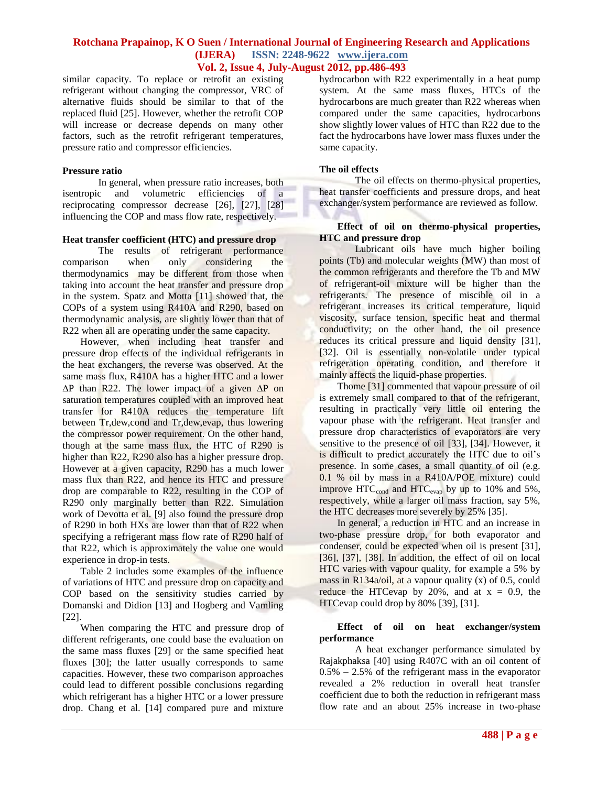similar capacity. To replace or retrofit an existing refrigerant without changing the compressor, VRC of alternative fluids should be similar to that of the replaced fluid [25]. However, whether the retrofit COP will increase or decrease depends on many other factors, such as the retrofit refrigerant temperatures, pressure ratio and compressor efficiencies.

#### **Pressure ratio**

In general, when pressure ratio increases, both isentropic and volumetric efficiencies of a reciprocating compressor decrease [26], [27], [28] influencing the COP and mass flow rate, respectively.

### **Heat transfer coefficient (HTC) and pressure drop**

The results of refrigerant performance comparison when only considering the thermodynamics may be different from those when taking into account the heat transfer and pressure drop in the system. Spatz and Motta [11] showed that, the COPs of a system using R410A and R290, based on thermodynamic analysis, are slightly lower than that of R22 when all are operating under the same capacity.

However, when including heat transfer and pressure drop effects of the individual refrigerants in the heat exchangers, the reverse was observed. At the same mass flux, R410A has a higher HTC and a lower  $\Delta P$  than R22. The lower impact of a given  $\Delta P$  on saturation temperatures coupled with an improved heat transfer for R410A reduces the temperature lift between Tr,dew,cond and Tr,dew,evap, thus lowering the compressor power requirement. On the other hand, though at the same mass flux, the HTC of R290 is higher than R22, R290 also has a higher pressure drop. However at a given capacity, R290 has a much lower mass flux than R22, and hence its HTC and pressure drop are comparable to R22, resulting in the COP of R290 only marginally better than R22. Simulation work of Devotta et al. [9] also found the pressure drop of R290 in both HXs are lower than that of R22 when specifying a refrigerant mass flow rate of R290 half of that R22, which is approximately the value one would experience in drop-in tests.

Table 2 includes some examples of the influence of variations of HTC and pressure drop on capacity and COP based on the sensitivity studies carried by Domanski and Didion [13] and Hogberg and Vamling [22].

When comparing the HTC and pressure drop of different refrigerants, one could base the evaluation on the same mass fluxes [29] or the same specified heat fluxes [30]; the latter usually corresponds to same capacities. However, these two comparison approaches could lead to different possible conclusions regarding which refrigerant has a higher HTC or a lower pressure drop. Chang et al. [14] compared pure and mixture

hydrocarbon with R22 experimentally in a heat pump system. At the same mass fluxes, HTCs of the hydrocarbons are much greater than R22 whereas when compared under the same capacities, hydrocarbons show slightly lower values of HTC than R22 due to the fact the hydrocarbons have lower mass fluxes under the same capacity.

# **The oil effects**

The oil effects on thermo-physical properties, heat transfer coefficients and pressure drops, and heat exchanger/system performance are reviewed as follow.

#### **Effect of oil on thermo-physical properties, HTC and pressure drop**

Lubricant oils have much higher boiling points (Tb) and molecular weights (MW) than most of the common refrigerants and therefore the Tb and MW of refrigerant-oil mixture will be higher than the refrigerants. The presence of miscible oil in a refrigerant increases its critical temperature, liquid viscosity, surface tension, specific heat and thermal conductivity; on the other hand, the oil presence reduces its critical pressure and liquid density [31], [32]. Oil is essentially non-volatile under typical refrigeration operating condition, and therefore it mainly affects the liquid-phase properties.

Thome [31] commented that vapour pressure of oil is extremely small compared to that of the refrigerant, resulting in practically very little oil entering the vapour phase with the refrigerant. Heat transfer and pressure drop characteristics of evaporators are very sensitive to the presence of oil [33], [34]. However, it is difficult to predict accurately the HTC due to oil's presence. In some cases, a small quantity of oil (e.g. 0.1 % oil by mass in a R410A/POE mixture) could improve  $HTC_{cond}$  and  $HTC_{evap}$  by up to 10% and 5%, respectively, while a larger oil mass fraction, say 5%, the HTC decreases more severely by 25% [35].

In general, a reduction in HTC and an increase in two-phase pressure drop, for both evaporator and condenser, could be expected when oil is present [31], [36], [37], [38]. In addition, the effect of oil on local HTC varies with vapour quality, for example a 5% by mass in R134a/oil, at a vapour quality  $(x)$  of 0.5, could reduce the HTCevap by 20%, and at  $x = 0.9$ , the HTCevap could drop by 80% [39], [31].

#### **Effect of oil on heat exchanger/system performance**

A heat exchanger performance simulated by Rajakphaksa [40] using R407C with an oil content of  $0.5\% - 2.5\%$  of the refrigerant mass in the evaporator revealed a 2% reduction in overall heat transfer coefficient due to both the reduction in refrigerant mass flow rate and an about 25% increase in two-phase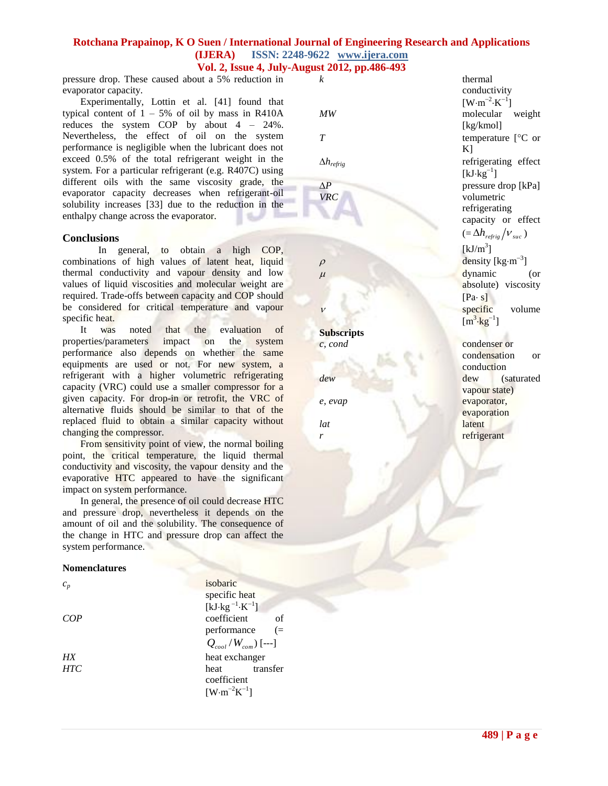# **Rotchana Prapainop, K O Suen / International Journal of Engineering Research and Applications (IJERA) ISSN: 2248-9622 www.ijera.com**

# **Vol. 2, Issue 4, July-August 2012, pp.486-493**

pressure drop. These caused about a 5% reduction in evaporator capacity.

Experimentally, Lottin et al. [41] found that typical content of  $1 - 5\%$  of oil by mass in R410A reduces the system COP by about 4 – 24%. Nevertheless, the effect of oil on the system performance is negligible when the lubricant does not exceed 0.5% of the total refrigerant weight in the system. For a particular refrigerant (e.g. R407C) using different oils with the same viscosity grade, the evaporator capacity decreases when refrigerant-oil solubility increases [33] due to the reduction in the enthalpy change across the evaporator.

# **Conclusions**

In general, to obtain a high COP, combinations of high values of latent heat, liquid thermal conductivity and vapour density and low values of liquid viscosities and molecular weight are required. Trade-offs between capacity and COP should be considered for critical temperature and vapour specific heat.

It was noted that the evaluation of<br>berties/parameters impact on the system properties/parameters impact on the system performance also depends on whether the same equipments are used or not. For new system, a refrigerant with a higher volumetric refrigerating capacity (VRC) could use a smaller compressor for a given capacity. For drop-in or retrofit, the VRC of alternative fluids should be similar to that of the replaced fluid to obtain a similar capacity without changing the compressor.

From sensitivity point of view, the normal boiling point, the critical temperature, the liquid thermal conductivity and viscosity, the vapour density and the evaporative HTC appeared to have the significant impact on system performance.

In general, the presence of oil could decrease HTC and pressure drop, nevertheless it depends on the amount of oil and the solubility. The consequence of the change in HTC and pressure drop can affect the system performance.

# **Nomenclatures**

| I<br>×<br>٧  |  |
|--------------|--|
| ۰,<br>I<br>٩ |  |

*COP* coefficient of *HX* heat exchanger *HTC* heat transfer

*isobaric* specific heat [ $kJ \cdot kg^{-1} \cdot K^{-1}$ ] performance (= *Qcool Wcom* / ) [---] coefficient  $\left[\text{W}\!\cdot\!\text{m}^{-2}\text{K}^{-1}\right]$ 

*k* thermal

**Subscripts** 

```
lat latent
r refrigerant
```
conductivity  $[W \cdot m^{-2} \cdot K^{-1}]$ *MW* molecular weight [kg/kmol] *T* temperature  $[{}^{\circ}C$  or  $K$ ] *hrefrig* refrigerating effect  $[kJ \cdot kg^{-1}]$  $\Delta P$  pressure drop [kPa] *VRC* volumetric refrigerating capacity or effect  $\left( = \Delta h_{refrig} / v_{suc} \right)$  $[kJ/m<sup>3</sup>]$  $\rho$  density [kg·m<sup>-3</sup>]  $\mu$  dynamic (or absolute) viscosity  $[Pa \cdot s]$  $\nu$  specific volume  $[m^3 \cdot kg^{-1}]$ *c, cond* condenser or condensation or conduction *dew* dew (saturated vapour state) *e, evap* evaporator, evaporation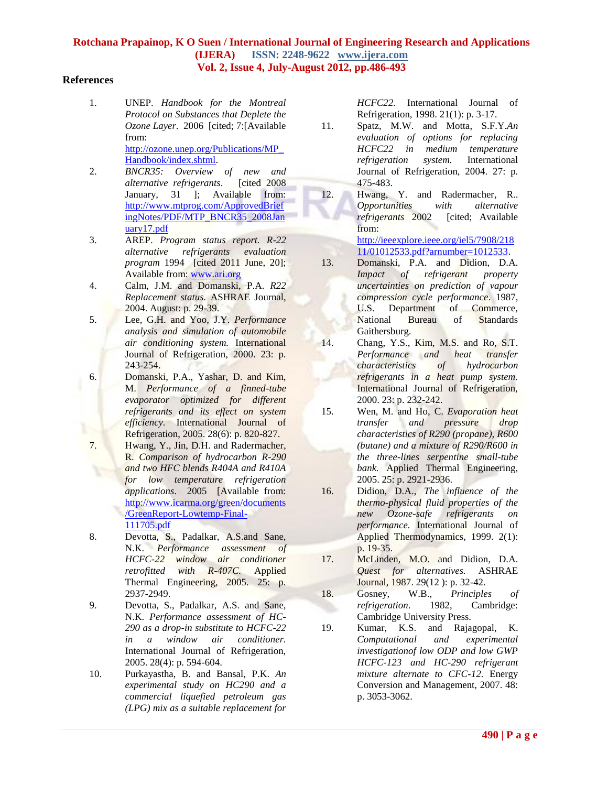# **References**

1. UNEP. *Handbook for the Montreal Protocol on Substances that Deplete the Ozone Layer*. 2006 [cited; 7:[Available from: [http://ozone.unep.org/Publications/MP\\_](http://ozone.unep.org/Publications/MP_Handbook/index.shtml) [Handbook/index.shtml.](http://ozone.unep.org/Publications/MP_Handbook/index.shtml)

2. *BNCR35: Overview of new and alternative refrigerants*. [cited 2008 January, 31 ]; Available from: [http://www.mtprog.com/ApprovedBrief](http://www.mtprog.com/ApprovedBriefingNotes/PDF/MTP_BNCR35_2008January17.pdf) [ingNotes/PDF/MTP\\_BNCR35\\_2008Jan](http://www.mtprog.com/ApprovedBriefingNotes/PDF/MTP_BNCR35_2008January17.pdf) [uary17.pdf](http://www.mtprog.com/ApprovedBriefingNotes/PDF/MTP_BNCR35_2008January17.pdf)

- 3. AREP. *Program status report. R-22 alternative refrigerants evaluation program* 1994 [cited 2011 June, 20]; Available from: [www.ari.org](http://www.ari.org/)
- 4. Calm, J.M. and Domanski, P.A. *R22 Replacement status.* ASHRAE Journal, 2004. August: p. 29-39.
- 5. Lee, G.H. and Yoo, J.Y. *Performance analysis and simulation of automobile air conditioning system.* International Journal of Refrigeration, 2000. 23: p. 243-254.

6. Domanski, P.A., Yashar, D. and Kim, M. *Performance of a finned-tube evaporator optimized for different refrigerants and its effect on system efficiency.* International Journal of Refrigeration, 2005. 28(6): p. 820-827.

7. Hwang, Y., Jin, D.H. and Radermacher, R. *Comparison of hydrocarbon R-290 and two HFC blends R404A and R410A for low temperature refrigeration applications*. 2005 [Available from: [http://www.icarma.org/green/documents](http://www.icarma.org/green/documents/GreenReport-Lowtemp-Final-111705.pdf) [/GreenReport-Lowtemp-Final-](http://www.icarma.org/green/documents/GreenReport-Lowtemp-Final-111705.pdf)[111705.pdf](http://www.icarma.org/green/documents/GreenReport-Lowtemp-Final-111705.pdf)

8. Devotta, S., Padalkar, A.S.and Sane, N.K. *Performance assessment of HCFC-22 window air conditioner retrofitted with R-407C.* Applied Thermal Engineering, 2005. 25: p. 2937-2949.

9. Devotta, S., Padalkar, A.S. and Sane, N.K. *Performance assessment of HC-290 as a drop-in substitute to HCFC-22 in a window air conditioner.* International Journal of Refrigeration, 2005. 28(4): p. 594-604.

10. Purkayastha, B. and Bansal, P.K. *An experimental study on HC290 and a commercial liquefied petroleum gas (LPG) mix as a suitable replacement for* 

*HCFC22.* International Journal of Refrigeration, 1998. 21(1): p. 3-17.

11. Spatz, M.W. and Motta, S.F.Y.*An evaluation of options for replacing HCFC22 in medium temperature refrigeration system.* International Journal of Refrigeration, 2004. 27: p. 475-483.

12. Hwang, Y. and Radermacher, R.. *Opportunities with alternative refrigerants* 2002 [cited; Available from: [http://ieeexplore.ieee.org/iel5/7908/218](http://ieeexplore.ieee.org/iel5/7908/21811/01012533.pdf?arnumber=1012533) [11/01012533.pdf?arnumber=1012533.](http://ieeexplore.ieee.org/iel5/7908/21811/01012533.pdf?arnumber=1012533)

13. Domanski, P.A. and Didion, D.A. *Impact of refrigerant property uncertainties on prediction of vapour compression cycle performance*. 1987, U.S. Department of Commerce, National Bureau of Standards Gaithersburg.

14. Chang, Y.S., Kim, M.S. and Ro, S.T. *Performance and heat transfer characteristics of hydrocarbon refrigerants in a heat pump system.* International Journal of Refrigeration, 2000. 23: p. 232-242.

15. Wen, M. and Ho, C. *Evaporation heat transfer and pressure drop characteristics of R290 (propane), R600 (butane) and a mixture of R290/R600 in the three-lines serpentine small-tube bank.* Applied Thermal Engineering, 2005. 25: p. 2921-2936.

16. Didion, D.A., *The influence of the thermo-physical fluid properties of the new Ozone-safe refrigerants on performance.* International Journal of Applied Thermodynamics, 1999. 2(1): p. 19-35.

17. McLinden, M.O. and Didion, D.A. *Quest for alternatives.* ASHRAE Journal, 1987. 29(12 ): p. 32-42.

18. Gosney, W.B., *Principles of refrigeration*. 1982, Cambridge: Cambridge University Press.

19. Kumar, K.S. and Rajagopal, K. *Computational and experimental investigationof low ODP and low GWP HCFC-123 and HC-290 refrigerant mixture alternate to CFC-12.* Energy Conversion and Management, 2007. 48: p. 3053-3062.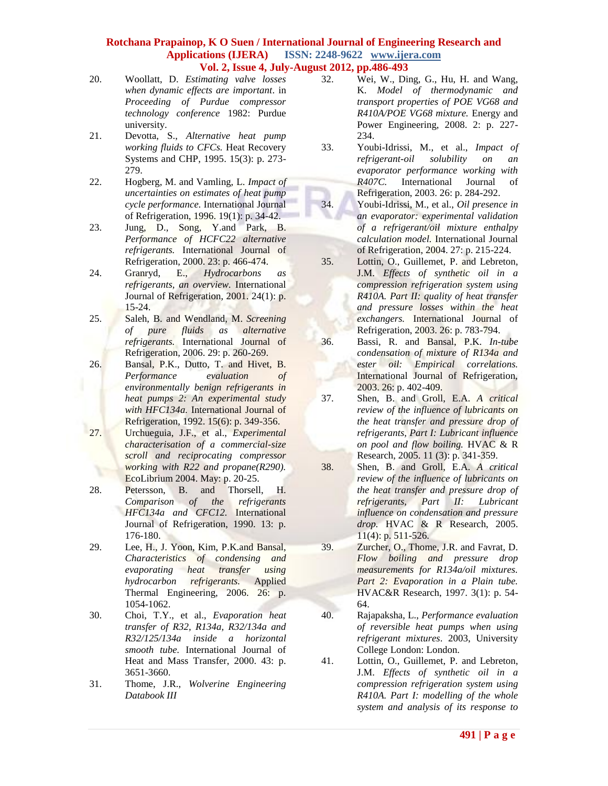- 20. Woollatt, D. *Estimating valve losses when dynamic effects are important*. in *Proceeding of Purdue compressor technology conference* 1982: Purdue university.
- 21. Devotta, S., *Alternative heat pump working fluids to CFCs.* Heat Recovery Systems and CHP, 1995. 15(3): p. 273- 279.
- 22. Hogberg, M. and Vamling, L. *Impact of uncertainties on estimates of heat pump cycle performance.* International Journal of Refrigeration, 1996. 19(1): p. 34-42.
- 23. Jung, D., Song, Y.and Park, B. *Performance of HCFC22 alternative refrigerants.* International Journal of Refrigeration, 2000. 23: p. 466-474.
- 24. Granryd, E., *Hydrocarbons as refrigerants, an overview.* International Journal of Refrigeration, 2001. 24(1): p. 15-24.
- 25. Saleh, B. and Wendland, M. *Screening of pure fluids as alternative refrigerants.* International Journal of Refrigeration, 2006. 29: p. 260-269.
- 26. Bansal, P.K., Dutto, T. and Hivet, B. *Performance evaluation of environmentally benign refrigerants in heat pumps 2: An experimental study with HFC134a.* International Journal of Refrigeration, 1992. 15(6): p. 349-356.
- 27. Urchueguia, J.F., et al., *Experimental characterisation of a commercial-size scroll and reciprocating compressor working with R22 and propane(R290).* EcoLibrium 2004. May: p. 20-25.
- 28. Petersson, B. and Thorsell, H. *Comparison of the refrigerants HFC134a and CFC12.* International Journal of Refrigeration, 1990. 13: p. 176-180.
- 29. Lee, H., J. Yoon, Kim, P.K.and Bansal, *Characteristics of condensing and evaporating heat transfer using hydrocarbon refrigerants.* Applied Thermal Engineering, 2006. 26: p. 1054-1062.
- 30. Choi, T.Y., et al., *Evaporation heat transfer of R32, R134a, R32/134a and R32/125/134a inside a horizontal smooth tube.* International Journal of Heat and Mass Transfer, 2000. 43: p. 3651-3660.
- 31. Thome, J.R., *Wolverine Engineering Databook III*
- 32. Wei, W., Ding, G., Hu, H. and Wang, K. *Model of thermodynamic and transport properties of POE VG68 and R410A/POE VG68 mixture.* Energy and Power Engineering, 2008. 2: p. 227- 234.
- 33. Youbi-Idrissi, M., et al., *Impact of refrigerant-oil solubility on an evaporator performance working with R407C.* International Journal of Refrigeration, 2003. 26: p. 284-292.
- 34. Youbi-Idrissi, M., et al., *Oil presence in an evaporator: experimental validation of a refrigerant/oil mixture enthalpy calculation model.* International Journal of Refrigeration, 2004. 27: p. 215-224.
- 35. Lottin, O., Guillemet, P. and Lebreton, J.M. *Effects of synthetic oil in a compression refrigeration system using R410A. Part II: quality of heat transfer and pressure losses within the heat exchangers.* International Journal of Refrigeration, 2003. 26: p. 783-794.
- 36. Bassi, R. and Bansal, P.K. *In-tube condensation of mixture of R134a and ester oil: Empirical correlations.* International Journal of Refrigeration, 2003. 26: p. 402-409.
- 37. Shen, B. and Groll, E.A. *A critical review of the influence of lubricants on the heat transfer and pressure drop of refrigerants, Part I: Lubricant influence on pool and flow boiling.* HVAC & R Research, 2005. 11 (3): p. 341-359.
- 38. Shen, B. and Groll, E.A. *A critical review of the influence of lubricants on the heat transfer and pressure drop of refrigerants, Part II: Lubricant influence on condensation and pressure drop.* HVAC & R Research, 2005. 11(4): p. 511-526.
- 39. Zurcher, O., Thome, J.R. and Favrat, D. *Flow boiling and pressure drop measurements for R134a/oil mixtures. Part 2: Evaporation in a Plain tube.* HVAC&R Research, 1997. 3(1): p. 54- 64.
- 40. Rajapaksha, L., *Performance evaluation of reversible heat pumps when using refrigerant mixtures*. 2003, University College London: London.
- 41. Lottin, O., Guillemet, P. and Lebreton, J.M. *Effects of synthetic oil in a compression refrigeration system using R410A. Part I: modelling of the whole system and analysis of its response to*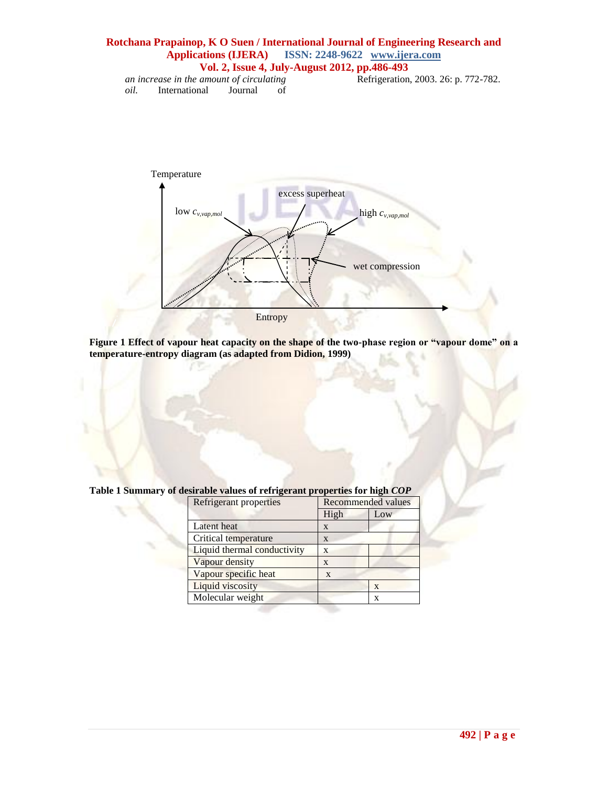# **Rotchana Prapainop, K O Suen / International Journal of Engineering Research and Applications (IJERA) ISSN: 2248-9622 www.ijera.com Vol. 2, Issue 4, July-August 2012, pp.486-493** *an increase in the amount of circulating*  Refrigeration, 2003. 26: p. 772-782.

*oil.* International Journal of



**Figure 1 Effect of vapour heat capacity on the shape of the two-phase region or "vapour dome" on a temperature-entropy diagram (as adapted from Didion, 1999)**

| <b>Refrigerant properties</b> | <b>Recommended values</b> |     |
|-------------------------------|---------------------------|-----|
|                               | High                      | Low |
| Latent heat                   | X                         |     |
| Critical temperature          | X                         |     |
| Liquid thermal conductivity   | X                         |     |
| Vapour density                | X                         |     |
| Vapour specific heat          | X                         |     |
| Liquid viscosity              |                           | X   |
| Molecular weight              |                           | X   |

**Table 1 Summary of desirable values of refrigerant properties for high** *COP*